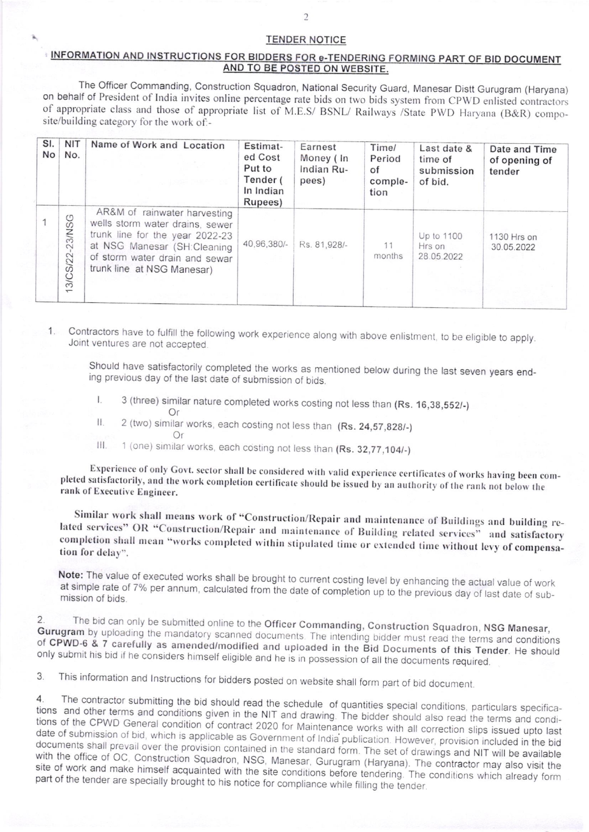## **TENDER NOTICE**

## <u>MATION AND INSTRUCTIONS FOR BIDDERS FOR e-TENDERING FORMING PART OF BID D</u> AND TO BE POSTED ON WEBSITE.

The Officer commanding, Construction Squadron, National Security Guard, Manesar Distt Gurugram (Haryana) of appropriate class and those of appropriate list of M.E.S/ BSNL/ Railways /State PWD Haryana (B&R) composite/building category for the work of:-

| SI.<br>No | <b>NIT</b><br>No.     | Name of Work and Location                                                                                                                                                                         | Estimat-<br>ed Cost<br>Put to<br>Tender (<br>In Indian<br>Rupees) | Earnest<br>Money (In<br>Indian Ru-<br>pees) | Time/<br>Period<br>of<br>comple-<br>tion | Last date &<br>time of<br>submission<br>of bid. | Date and Time<br>of opening of<br>tender |
|-----------|-----------------------|---------------------------------------------------------------------------------------------------------------------------------------------------------------------------------------------------|-------------------------------------------------------------------|---------------------------------------------|------------------------------------------|-------------------------------------------------|------------------------------------------|
|           | $-23$ /NSG<br>3/CS/22 | AR&M of rainwater harvesting<br>wells storm water drains, sewer<br>trunk line for the year 2022-23<br>at NSG Manesar (SH:Cleaning<br>of storm water drain and sewar<br>trunk line at NSG Manesar) | 40,96,380/-                                                       | Rs. 81,928/-                                | 11<br>months                             | Up to 1100<br>Hrs on<br>28.05.2022              | 1130 Hrs on<br>30.05.2022                |

Contractors have to fulfill the following work experience along with above enlistment, to be eligible to apply. Joint ventures are not accepted. 1

Should have satisfactorily completed the works as mentioned below during the last seven years end- ing previous day of the last date of submission of bids.

- l. 3 (three) similar nature completed works costing not less than (Rs. 16,38,552/.)
	-
- II.  $2$  (two) similar works, each costing not less than (Rs. 24,57,828/-)
- 
- III. 1 (one) similar works, each costing not less than (Rs. 32,77,104/-)

Experience of only Govt. sector shall be considered with valid experience certificates of works having been completed satisfactorily, and the work completion certificate should be issued by an authority of the rank not bel

Similar work shall means work of "Construction/Repair and maintenance of Buildings and building related services" OR "Construction/Repair and maintenance of Building related services" and satisfactory completion shall mean

Note: The value of executed works shall be brought to current costing level by enhancing the actual value of work at simple rate of 7% per annum, calculated from the date of completion up to the previous day of last date o

 $2.$ Gurugram 2. The bid can only be submitted online to the Officer Commanding, Construction Squadron, NSG Manesar, Gurugram by uploading the mandatory scanned documents. The intending bidder must read the terms and conditions of CPWDonly submit his bid if he considers himself eligible and he is in possession of all the documents required. of CPWD-6 & 7 carefully as amended/modified and uploaded in the Bid Documents of this Tender. He should

3 This information and lnstructions for bidders posted on website shall form part of bid document.

4. The contractor submitting the bid should read the schedule of quantities special conditions, particulars specifications of the CPWD General condition of contract 2020 for Maintenance works with all correction slips issued upto last<br>date of submission of bid, which is applicable as Government of India publication. However, provision in tions and other terms and conditions given in the NIT and drawing. The bidder should also read the terms and condi-<br>tions of the CPWD General condition of contract 2000 for and drawing. The bidder should also read the term date of submission of bid, which is applicable as Government of India publication. However, provision included in the bid<br>documents shall prevail over the provision contained in the standard ferm. They are the vision inclu shall prevail over the provision contained in the standard form. The set of drawings and NIT will be available<br>ce of OC. Construction Squadron, NSC, Mary will be available with the office of OC, Construction Squadron, NSG, Manesar, Gurugram (Haryana). The contractor may also visit the site of work and make himself acquainted with the site conditions before tendering. The conditions which alr site of work and make himself acquainted with the site conditions before tendering. The conditions which already form part of the tender are specially brought to his notice for compliance while filling the tender. compliance while filling the tender